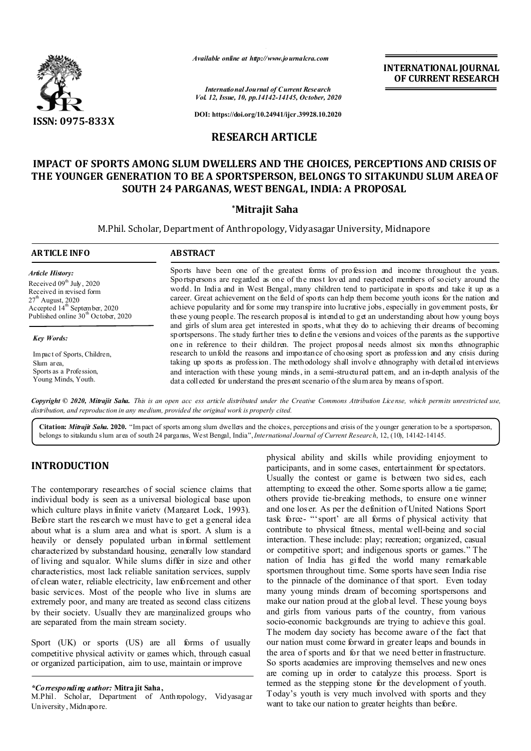

*Available online at http://www.journalcra.com*

**INTERNATIONAL JOURNAL OF CURRENT RESEARCH**

*International Journal of Current Research Vol. 12, Issue, 10, pp.14142-14145, October, 2020*

**DOI: https://doi.org/10.24941/ijcr.39928.10.2020**

## **RESEARCH ARTICLE**

# **IMPACT OF SPORTS AMONG SLUM DWELLERS AND THE CHOICES, PERCEPTIONS AND CRISIS OF THE YOUNGER GENERATION TO BE A SPORTSPERSON, BELONGS TO SITAKUNDU SLUM AREAOF SOUTH 24 PARGANAS, WEST BENGAL, INDIA: A PROPOSAL**

#### **\*Mitrajit Saha**

M.Phil. Scholar, Department of Anthropology, Vidyasagar University, Midnapore

| <b>ARTICLE INFO</b>                             | <b>ABSTRACT</b>                                                                                                                                                                                                                                                                                                   |
|-------------------------------------------------|-------------------------------------------------------------------------------------------------------------------------------------------------------------------------------------------------------------------------------------------------------------------------------------------------------------------|
| <b>Article History:</b>                         | Sports have been one of the greatest forms of profession and income throughout the years.                                                                                                                                                                                                                         |
| Received $09th$ July, 2020                      | Sportspersons are regarded as one of the most loved and respected members of society around the                                                                                                                                                                                                                   |
| Received in revised form                        | world. In India and in West Bengal, many children tend to participate in sports and take it up as a                                                                                                                                                                                                               |
| $27th$ August, 2020                             | career. Great achievement on the field of sports can help them become youth icons for the nation and                                                                                                                                                                                                              |
| Accepted 14 <sup>th</sup> September, 2020       | achieve popularity and for some may transpire into lucrative jobs, especially in government posts, for                                                                                                                                                                                                            |
| Published online 30 <sup>th</sup> October, 2020 | these young people. The research proposal is intended to get an understanding about how young boys                                                                                                                                                                                                                |
| <b>Key Words:</b>                               | and girls of slum area get interested in sports, what they do to achieving their dreams of becoming<br>sportspersons. The study further tries to define the versions and voices of the parents as the supportive<br>one in reference to their children. The project proposal needs almost six months ethnographic |
| Impact of Sports, Children,                     | research to unfold the reasons and importance of choosing sport as profession and any crisis during                                                                                                                                                                                                               |
| Slum area,                                      | taking up sports as profession. The methodology shall involve ethnography with detailed interviews                                                                                                                                                                                                                |
| Sports as a Profession,                         | and interaction with these young minds, in a semi-structured pattem, and an in-depth analysis of the                                                                                                                                                                                                              |
| Young Minds, Youth.                             | data collected for understand the present scenario of the slumarea by means of sport.                                                                                                                                                                                                                             |

Copyright © 2020, Mitrajit Saha. This is an open acc ess article distributed under the Creative Commons Attribution License, which permits unrestricted use, *distribution, and reproduction in any medium, provided the original work is properly cited.*

**Citation:** *Mitrajit Saha.* **2020.** "Im pact of sports among slum dwellers and the choices, perceptions and crisis of the younger generation to be a sportsperson, belongs to sitakundu slum area of south 24 parganas, West Bengal, India",*International Journal of Current Research*, 12, (10), 14142-14145.

## **INTRODUCTION**

The contemporary researches of social science claims that individual body is seen as a universal biological base upon which culture plays infinite variety (Margaret Lock, 1993). Before start the research we must have to get a general idea about what is a slum area and what is sport. A slum is a heavily or densely populated urban informal settlement characterized by substandard housing, generally low standard of living and squalor. While slums differ in size and other characteristics, most lack reliable sanitation services, supply of clean water, reliable electricity, law enforcement and other basic services. Most of the people who live in slums are extremely poor, and many are treated as second class citizens by their society. Usually they are marginalized groups who are separated from the main stream society.

Sport (UK) or sports (US) are all forms of usually competitive physical activity or games which, through casual or organized participation, aim to use, maintain or improve

*\*Corresponding author:* **Mitrajit Saha,**

M.Phil. Scholar, Department of Anthropology, Vidyasagar University, Midnapore.

physical ability and skills while providing enjoyment to participants, and in some cases, entertainment for spectators. Usually the contest or game is between two sid es, each attempting to exceed the other. Some sports allow a tie game; others provide tie-breaking methods, to ensure one winner and one los er. As per the definition of United Nations Sport task force- "'sport' are all forms of physical activity that contribute to physical fitness, mental well-being and social interaction. These include: play; recreation; organized, casual or competitive sport; and indigenous sports or games." The nation of India has gifted the world many remarkable sportsmen throughout time. Some sports have seen India rise to the pinnacle of the dominance of that sport. Even today many young minds dream of becoming sportspersons and make our nation proud at the global level. These young boys and girls from various parts of the country, from various socio-economic backgrounds are trying to achieve this goal. The modern day society has become aware of the fact that our nation must come forward in greater leaps and bounds in the area of sports and for that we need better infrastructure. So sports academies are improving themselves and new ones are coming up in order to catalyze this process. Sport is termed as the stepping stone for the development of youth. Today's youth is very much involved with sports and they want to take our nation to greater heights than before.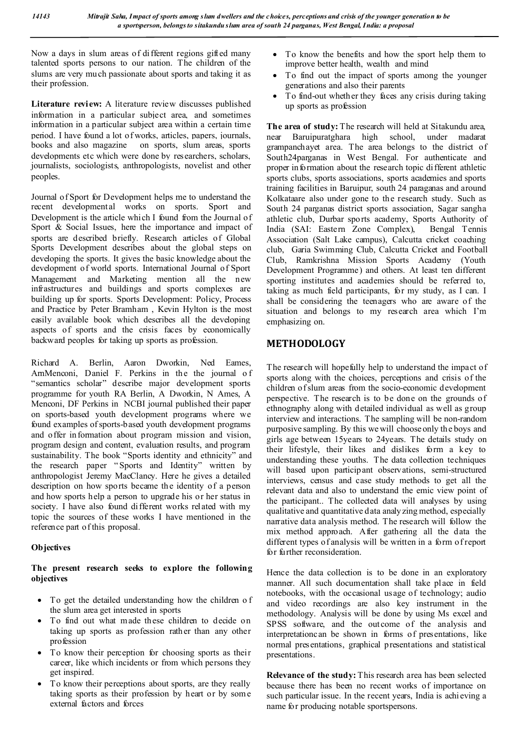Now a days in slum areas of different regions gifted many talented sports persons to our nation. The children of the slums are very much passionate about sports and taking it as their profession.

**Literature review:** A literature review discusses published information in a particular subject area, and sometimes information in a particular subject area within a certain time period. I have found a lot of works, articles, papers, journals, books and also magazine on sports, slum areas, sports developments etc which were done by researchers, scholars, journalists, sociologists, anthropologists, novelist and other peoples.

Journal of Sport for Development helps me to understand the recent developmental works on sports. Sport and Development is the article which I found from the Journal of Sport & Social Issues, here the importance and impact of sports are described briefly. Research articles of Global Sports Development describes about the global steps on developing the sports. It gives the basic knowledge about the development of world sports. International Journal of Sport Management and Marketing mention all the new infrastructures and buildings and sports complexes are building up for sports. Sports Development: Policy, Process and Practice by Peter Bramham , Kevin Hylton is the most easily available book which describes all the developing aspects of sports and the crisis faces by economically backward peoples for taking up sports as profession.

Richard A. Berlin, Aaron Dworkin, Ned Eames, ArnMenconi, Daniel F. Perkins in the the journal o f "semantics scholar" describe major development sports programme for youth RA Berlin, A Dworkin, N Ames, A Menconi, DF Perkins in NCBI journal published their paper on sports-based youth development programs where we found examples of sports-based youth development programs and offer information about program mission and vision, program design and content, evaluation results, and program sustainability. The book "Sports identity and ethnicity" and the research paper " Sports and Identity" written by anthropologist Jeremy MacClancy. Here he gives a detailed description on how sports became the identity of a person and how sports help a person to upgrade his or her status in society. I have also found different works related with my topic the sources of these works I have mentioned in the reference part of this proposal.

## **Objectives**

**The present research seeks to explore the following objectives**

- To get the detailed understanding how the children o f the slum area get interested in sports
- To find out what made these children to decide on taking up sports as profession rather than any other profession
- To know their perception for choosing sports as their career, like which incidents or from which persons they get inspired.
- To know their perceptions about sports, are they really taking sports as their profession by heart or by som e external factors and forces
- To know the benefits and how the sport help them to improve better health, wealth and mind
- To find out the impact of sports among the younger generations and also their parents
- To find-out whether they faces any crisis during taking up sports as profession

**The area of study:** The research will held at Sitakundu area, near Baruipuratghara high school, under madarat grampanchayet area. The area belongs to the district of South24parganas in West Bengal. For authenticate and proper in formation about the research topic different athletic sports clubs, sports associations, sports academies and sports training facilities in Baruipur, south 24 paraganas and around Kolkataare also under gone to the research study. Such as South 24 parganas district sports association, Sagar sangha athletic club, Durbar sports academy, Sports Authority of India (SAI: Eastern Zone Complex), Bengal Tennis Association (Salt Lake campus), Calcutta cricket coaching club, Garia Swimming Club, Calcutta Cricket and Football Club, Ramkrishna Mission Sports Academy (Youth Development Programme) and others. At least ten different sporting institutes and academies should be referred to, taking as much field participants, for my study, as I can. I shall be considering the teenagers who are aware of the situation and belongs to my research area which I'm emphasizing on.

# **METHODOLOGY**

The research will hopefully help to understand the impact of sports along with the choices, perceptions and crisis of the children ofslum areas from the socio-economic development perspective. The research is to be done on the grounds of ethnography along with detailed individual as well as group interview and interactions. The sampling will be non-random purposive sampling. By this wewill chooseonly the boys and girls age between 15years to 24years. The details study on their lifestyle, their likes and dislikes form a key to understanding these youths. The data collection techniques will based upon participant observations, semi-structured interviews, census and case study methods to get all the relevant data and also to understand the emic view point of the participant.. The collected data will analyses by using qualitative and quantitative data analyzing method, especially narrative data analysis method. The research will follow the mix method approach. After gathering all the data the different types of analysis will be written in a form ofreport for further reconsideration.

Hence the data collection is to be done in an exploratory manner. All such documentation shall take place in field notebooks, with the occasional usage of technology; audio and video recordings are also key instrument in the methodology. Analysis will be done by using Ms excel and SPSS software, and the outcome of the analysis and interpretationcan be shown in forms of presentations, like normal presentations, graphical presentations and statistical presentations.

**Relevance of the study:** This research area has been selected because there has been no recent works of importance on such particular issue. In the recent years, India is achieving a name for producing notable sportspersons.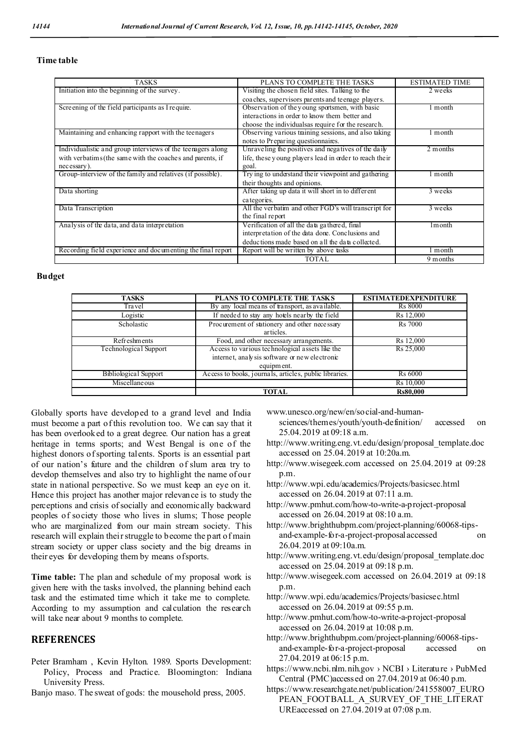#### **Time table**

| <b>TASKS</b>                                                | PLANS TO COMPLETE THE TASKS                            | <b>ESTIMATED TIME</b> |
|-------------------------------------------------------------|--------------------------------------------------------|-----------------------|
| Initiation into the beginning of the survey.                | Visiting the chosen field sites. Talking to the        | 2 weeks               |
|                                                             | coa ches, supervisors parents and teenage players.     |                       |
| Screening of the field participants as I require.           | Observation of the young sportsmen, with basic         | ∣ month               |
|                                                             | interactions in order to know them better and          |                       |
|                                                             | choose the individuals as require for the research.    |                       |
| Maintaining and enhancing rapport with the teenagers        | Observing various training sessions, and also taking   | month                 |
|                                                             | notes to Preparing questionnaires.                     |                       |
| Individualistic and group interviews of the teenagers along | Unraveling the positives and negatives of the daily    | 2 months              |
| with verbatims (the same with the coaches and parents, if   | life, these young players lead in order to reach their |                       |
| necessary).                                                 | goal.                                                  |                       |
| Group-interview of the family and relatives (if possible).  | Try ing to understand their viewpoint and gathering    | l month               |
|                                                             | their thoughts and opinions.                           |                       |
| Data shorting                                               | After taking up data it will short in to different     | 3 weeks               |
|                                                             | categories.                                            |                       |
| Data Transcription                                          | All the verbatim and other FGD's will transcript for   | 3 weeks               |
|                                                             | the final report                                       |                       |
| Analysis of the data, and data interpretation               | Verification of all the data gathered, final           | 1 <sub>m</sub> onth   |
|                                                             | interpretation of the data done. Conclusions and       |                       |
|                                                             | deductions made based on all the data collected.       |                       |
| Recording field experience and documenting the final report | Report will be written by above tasks                  | l month               |
|                                                             | TOTAL                                                  | 9 months              |

#### **Budget**

| <b>TASKS</b>          | PLANS TO COMPLETE THE TASKS                                                                                    | <b>ESTIMATEDEXPENDITURE</b> |
|-----------------------|----------------------------------------------------------------------------------------------------------------|-----------------------------|
| Tra vel               | By any local means of transport, as available.                                                                 | <b>Rs</b> 8000              |
| Logistic              | If needed to stay any hotels nearby the field                                                                  | Rs 12,000                   |
| Scholastic            | Procurement of stationery and other necessary<br>articles.                                                     | <b>Rs</b> 7000              |
| Refreshments          | Food, and other necessary arrangements.                                                                        | Rs 12,000                   |
| Technological Support | Access to various technological assets like the<br>internet, analysis software or new electronic<br>equipment. | Rs 25,000                   |
| Bibliological Support | Access to books, journals, articles, public libraries.                                                         | <b>Rs</b> 6000              |
| Miscellane ous        |                                                                                                                | Rs 10,000                   |
|                       | <b>TOTAL</b>                                                                                                   | <b>Rs80,000</b>             |

Globally sports have developed to a grand level and India must become a part ofthis revolution too. We can say that it has been overlooked to a great degree. Our nation has a great heritage in terms sports; and West Bengal is one of the highest donors of sporting talents. Sports is an essential part of our nation's future and the children of slum area try to develop themselves and also try to highlight the name of our state in national perspective. So we must keep an eye on it. Hence this project has another major relevance is to study the perceptions and crisis ofsocially and economically backward peoples of society those who lives in slums; Those people who are marginalized from our main stream society. This research will explain their struggle to become the part of main stream society or upper class society and the big dreams in their eyes for developing them by means ofsports.

**Time table:** The plan and schedule of my proposal work is given here with the tasks involved, the planning behind each task and the estimated time which it take me to complete. According to my assumption and calculation the research will take near about 9 months to complete.

### **REFERENCES**

- Peter Bramham , Kevin Hylton. 1989. Sports Development: Policy, Process and Practice. Bloomington: Indiana University Press.
- Banjo maso. The sweat of gods: the mousehold press, 2005.

www.unesco.org/new/en/social-and-human-

- sciences/themes/youth/youth-definition/ accessed on 25.04.2019 at 09:18 a.m.
- http://www.writing.eng.vt.edu/design/proposal\_template.doc accessed on 25.04.2019 at 10:20a.m.
- http://www.wisegeek.com accessed on 25.04.2019 at 09:28 p.m.
- http://www.wpi.edu/academics/Projects/basicsec.html accessed on 26.04.2019 at 07:11 a.m.
- http://www.pmhut.com/how-to-write-a-project-proposal accessed on 26.04.2019 at 08:10 a.m.
- http://www.brighthubpm.com/project-planning/60068-tipsand-example-for-a-project-proposal accessed on 26.04.2019 at 09:10a.m.
- http://www.writing.eng.vt.edu/design/proposal\_template.doc accessed on 25.04.2019 at 09:18 p.m.
- http://www.wisegeek.com accessed on 26.04.2019 at 09:18 p.m.
- http://www.wpi.edu/academics/Projects/basicsec.html accessed on 26.04.2019 at 09:55 p.m.
- http://www.pmhut.com/how-to-write-a-project-proposal accessed on 26.04.2019 at 10:08 p.m.
- http://www.brighthubpm.com/project-planning/60068-tipsand-example-for-a-project-proposal accessed on 27.04.2019 at 06:15 p.m.
- https://www.ncbi.nlm.nih.gov › NCBI › Literature › PubMed Central (PMC)accessed on 27.04.2019 at 06:40 p.m.
- https://www.researchgate.net/publication/241558007\_EURO PEAN\_FOOTBALL\_A\_SURVEY\_OF\_THE\_LITERAT UREaccessed on 27.04.2019 at 07:08 p.m.